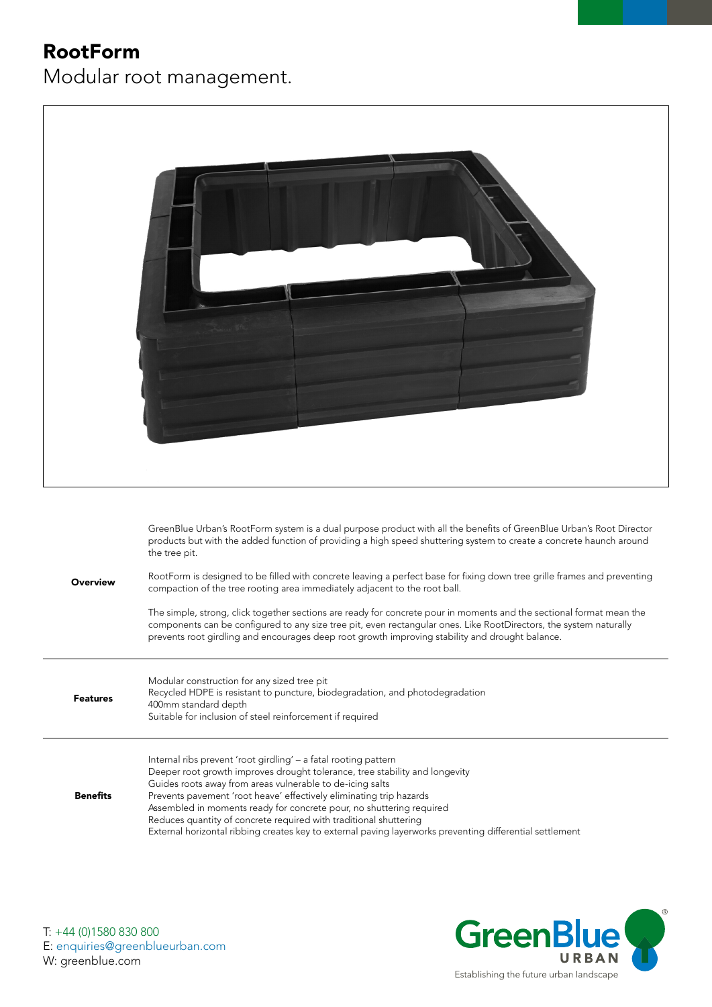## RootForm

Modular root management.



Benefits Prevents pavement 'root heave' effectively eliminating trip hazards Assembled in moments ready for concrete pour, no shuttering required Reduces quantity of concrete required with traditional shuttering External horizontal ribbing creates key to external paving layerworks preventing differential settlement